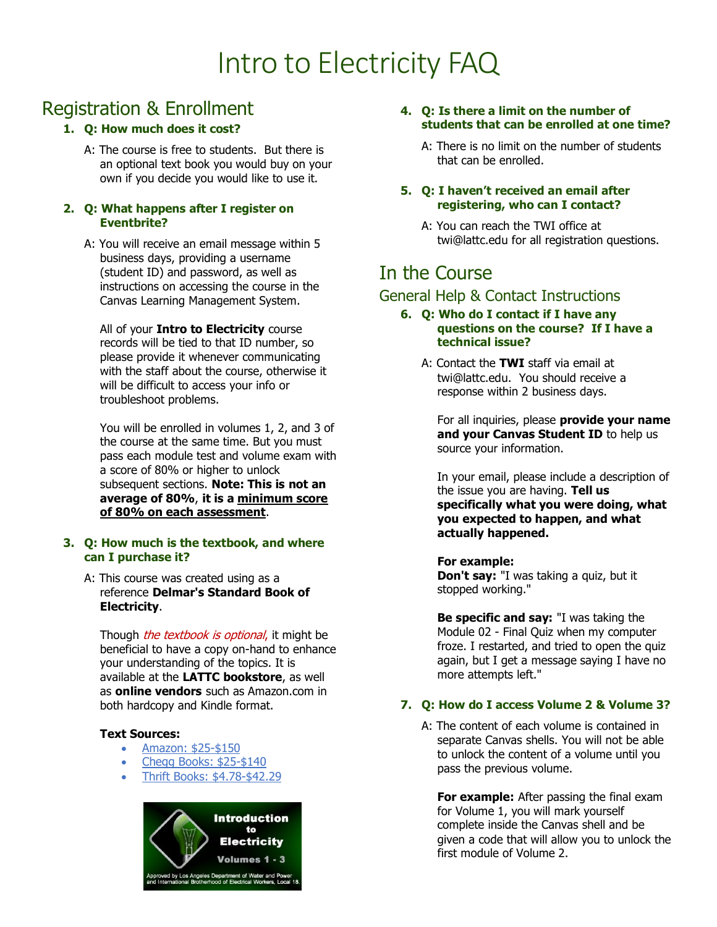# Intro to Electricity FAQ

# Registration & Enrollment

#### **1. Q: How much does it cost?**

A: The course is free to students. But there is an optional text book you would buy on your own if you decide you would like to use it.

#### **2. Q: What happens after I register on Eventbrite?**

A: You will receive an email message within 5 business days, providing a username (student ID) and password, as well as instructions on accessing the course in the Canvas Learning Management System.

All of your **Intro to Electricity** course records will be tied to that ID number, so please provide it whenever communicating with the staff about the course, otherwise it will be difficult to access your info or troubleshoot problems.

You will be enrolled in volumes 1, 2, and 3 of the course at the same time. But you must pass each module test and volume exam with a score of 80% or higher to unlock subsequent sections. **Note: This is not an average of 80%**, **it is a minimum score of 80% on each assessment**.

#### **3. Q: How much is the textbook, and where can I purchase it?**

A: This course was created using as a reference **Delmar's Standard Book of Electricity**.

Though *the textbook is optional*, it might be beneficial to have a copy on-hand to enhance your understanding of the topics. It is available at the **LATTC bookstore**, as well as **online vendors** such as Amazon.com in both hardcopy and Kindle format.

#### **Text Sources:**

- [Amazon: \\$25-\\$150](https://www.amazon.com/Delmars-Standard-Textbook-Electricity-Stephen-dp-1285852702/dp/1285852702/ref=mt_other?_encoding=UTF8&me=&qid=)
- [Chegg Books: \\$25-\\$140](https://www.chegg.com/textbooks/delmar-s-standard-textbook-of-electricity-6th-edition-9781285852706-1285852702?c_id=sem&c_id=sem&utm_source=google&utm_medium=cpc&utm_campaign=tb--long_tail-googleshopping_group1&utm_content=PRODUCT_GROUP&gclid=Cj0KCQjwuJz3BRDTARIsAMg-HxX0rbavfUhWd8piNgzM9Jm_dsCJaHj7F8p8MC0gi3dIsYT1N-ME0vgaAomWEALw_wcB&gclsrc=aw.ds)
- [Thrift Books: \\$4.78-\\$42.29](https://www.thriftbooks.com/w/delmars-standard-textbook-of-electricity_stephen-l-herman/251507/item/29048450/?mkwid=M2bKtaS0%7cdc&pcrid=70112880312&product=29048450&plc=&pgrid=21323666712&ptaid=pla-365999968632&utm_source=google_shopping&utm_content=M2bKtaS0%7cdc%7cpcrid%7c70112880312%7cpkw%7c%7cpmt%7c%7cproduct%7c29048450%7cslid%7c%7cpgrid%7c21323666712%7cptaid%7cpla-365999968632%7c&gclid=Cj0KCQjwuJz3BRDTARIsAMg-HxUh3RMs1V_amTvVrGtFQNdiulOkAi17xmpyqADmkQHgJQThWwM4oXEaAtssEALw_wcB#isbn=082738551X&idiq=37196388)



- **4. Q: Is there a limit on the number of students that can be enrolled at one time?**
	- A: There is no limit on the number of students that can be enrolled.

#### **5. Q: I haven't received an email after registering, who can I contact?**

A: You can reach the TWI office at [twi@lattc.edu](mailto:twi@lattc.edu) for all registration questions.

# In the Course

### General Help & Contact Instructions

#### **6. Q: Who do I contact if I have any questions on the course? If I have a technical issue?**

A: Contact the **TWI** staff via email at [twi@lattc.edu.](mailto:twi@lattc.edu) You should receive a response within 2 business days.

For all inquiries, please **provide your name and your Canvas Student ID** to help us source your information.

In your email, please include a description of the issue you are having. **Tell us specifically what you were doing, what you expected to happen, and what actually happened.**

#### **For example:**

**Don't say:** "I was taking a quiz, but it stopped working."

**Be specific and say:** "I was taking the Module 02 - Final Quiz when my computer froze. I restarted, and tried to open the quiz again, but I get a message saying I have no more attempts left."

#### **7. Q: How do I access Volume 2 & Volume 3?**

A: The content of each volume is contained in separate Canvas shells. You will not be able to unlock the content of a volume until you pass the previous volume.

**For example:** After passing the final exam for Volume 1, you will mark yourself complete inside the Canvas shell and be given a code that will allow you to unlock the first module of Volume 2.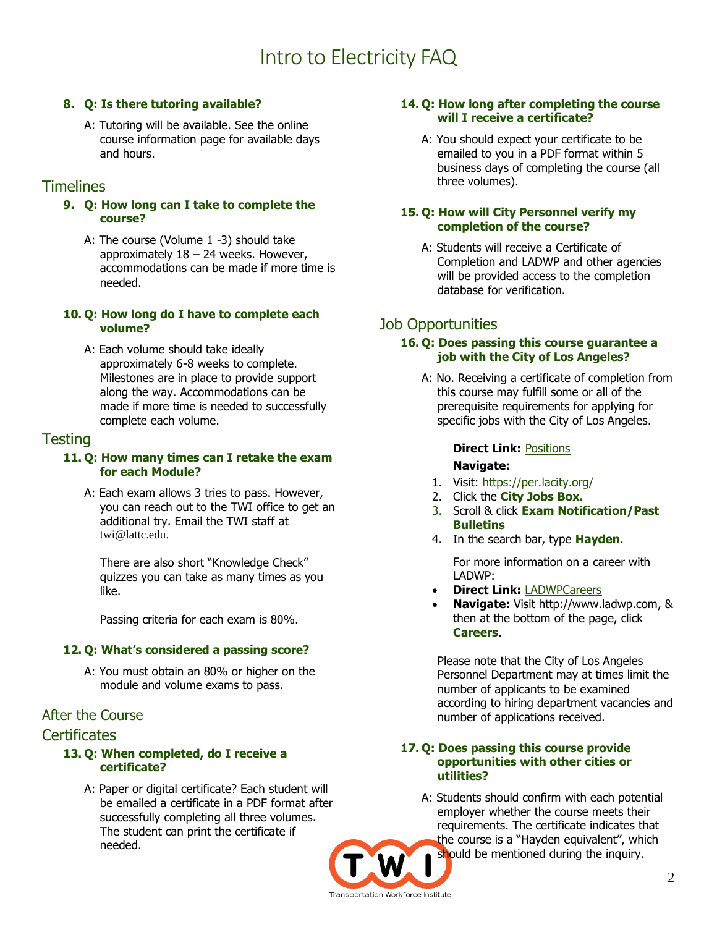# Intro to Electricity FAQ

#### **8. Q: Is there tutoring available?**

A: Tutoring will be available. See the online course information page for available days and hours.

### **Timelines**

- **9. Q: How long can I take to complete the course?**
	- A: The course (Volume 1 -3) should take approximately 18 – 24 weeks. However, accommodations can be made if more time is needed.

#### **10. Q: How long do I have to complete each volume?**

A: Each volume should take ideally approximately 6-8 weeks to complete. Milestones are in place to provide support along the way. Accommodations can be made if more time is needed to successfully complete each volume.

### Testing

#### **11. Q: How many times can I retake the exam for each Module?**

A: Each exam allows 3 tries to pass. However, you can reach out to the TWI office to get an additional try. Email the TWI staff at [twi@lattc.edu.](mailto:twi@lattc.edu)

There are also short "Knowledge Check" quizzes you can take as many times as you like.

Passing criteria for each exam is 80%.

#### **12. Q: What's considered a passing score?**

A: You must obtain an 80% or higher on the module and volume exams to pass.

#### After the Course

#### **Certificates**

#### **13. Q: When completed, do I receive a certificate?**

A: Paper or digital certificate? Each student will be emailed a certificate in a PDF format after successfully completing all three volumes. The student can print the certificate if needed.

#### **14. Q: How long after completing the course will I receive a certificate?**

A: You should expect your certificate to be emailed to you in a PDF format within 5 business days of completing the course (all three volumes).

#### **15. Q: How will City Personnel verify my completion of the course?**

A: Students will receive a Certificate of Completion and LADWP and other agencies will be provided access to the completion database for verification.

## Job Opportunities

#### **16. Q: Does passing this course guarantee a job with the City of Los Angeles?**

A: No. Receiving a certificate of completion from this course may fulfill some or all of the prerequisite requirements for applying for specific jobs with the City of Los Angeles.

#### **Direct Link:** [Positions](https://www.governmentjobs.com/careers/lacity/classspecs?keywords=Hayden) **Navigate:**

- 1. Visit: <https://per.lacity.org/>
- 2. Click the **City Jobs Box.**
- 3. Scroll & click **Exam Notification/Past Bulletins**
- 4. In the search bar, type **Hayden**.

For more information on a career with LADWP:

- **Direct Link:** [LADWPCareers](https://www.ladwp.com/ladwp/faces/ladwp/aboutus/a-careers;jsessionid=ptDhvfqcyy62fHqTkLnNtkqpVVnFmsRJtW6CRpDJjxbPzFWrfGh6!400587824?_afrLoop=191296117656083&_afrWindowMode=0&_afrWindowId=null#%40%3F_afrWindowId%3Dnull%26_afrLoop%3D191296117656083%26_afrWindowMode%3D0%26_adf.ctrl-state%3D1dtzqimbao_4)
- **Navigate:** Visit http://www.ladwp.com, & then at the bottom of the page, click **Careers**.

Please note that the City of Los Angeles Personnel Department may at times limit the number of applicants to be examined according to hiring department vacancies and number of applications received.

#### **17. Q: Does passing this course provide opportunities with other cities or utilities?**

A: Students should confirm with each potential employer whether the course meets their requirements. The certificate indicates that the course is a "Hayden equivalent", which should be mentioned during the inquiry.